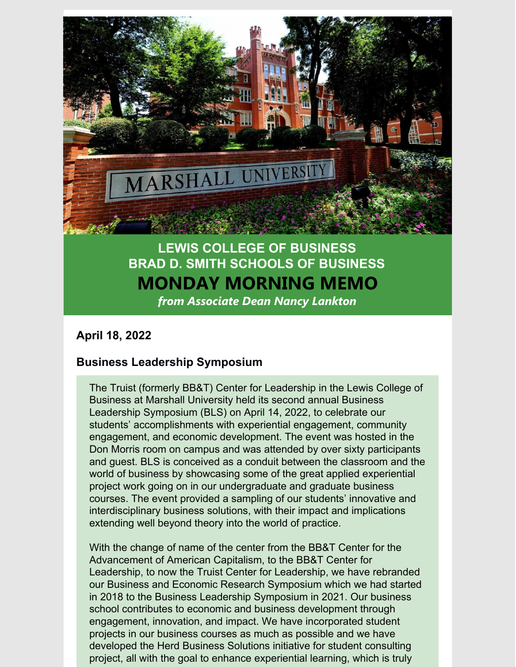

# **LEWIS COLLEGE OF BUSINESS BRAD D. SMITH SCHOOLS OF BUSINESS MONDAY MORNING MEMO** *from Associate Dean Nancy Lankton*

#### **April 18, 2022**

## **Business Leadership Symposium**

The Truist (formerly BB&T) Center for Leadership in the Lewis College of Business at Marshall University held its second annual Business Leadership Symposium (BLS) on April 14, 2022, to celebrate our students' accomplishments with experiential engagement, community engagement, and economic development. The event was hosted in the Don Morris room on campus and was attended by over sixty participants and guest. BLS is conceived as a conduit between the classroom and the world of business by showcasing some of the great applied experiential project work going on in our undergraduate and graduate business courses. The event provided a sampling of our students' innovative and interdisciplinary business solutions, with their impact and implications extending well beyond theory into the world of practice.

With the change of name of the center from the BB&T Center for the Advancement of American Capitalism, to the BB&T Center for Leadership, to now the Truist Center for Leadership, we have rebranded our Business and Economic Research Symposium which we had started in 2018 to the Business Leadership Symposium in 2021. Our business school contributes to economic and business development through engagement, innovation, and impact. We have incorporated student projects in our business courses as much as possible and we have developed the Herd Business Solutions initiative for student consulting project, all with the goal to enhance experiential learning, which is truly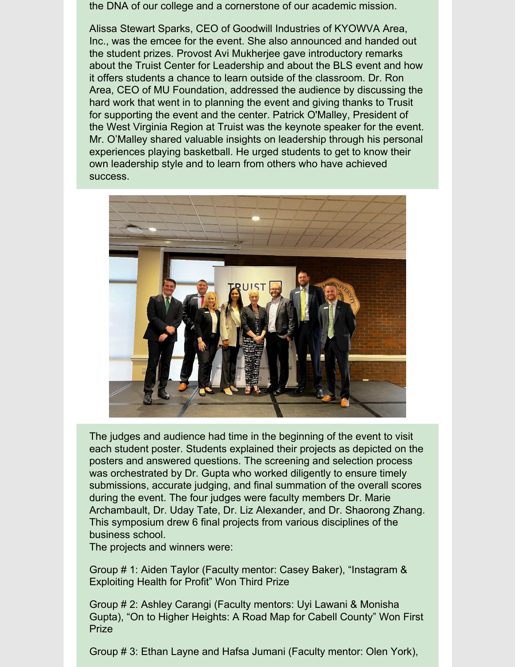the DNA of our college and a cornerstone of our academic mission.

Alissa Stewart Sparks, CEO of Goodwill Industries of KYOWVA Area, Inc., was the emcee for the event. She also announced and handed out the student prizes. Provost Avi Mukherjee gave introductory remarks about the Truist Center for Leadership and about the BLS event and how it offers students a chance to learn outside of the classroom. Dr. Ron Area, CEO of MU Foundation, addressed the audience by discussing the hard work that went in to planning the event and giving thanks to Trusit for supporting the event and the center. Patrick O'Malley, President of the West Virginia Region at Truist was the keynote speaker for the event. Mr. O'Malley shared valuable insights on leadership through his personal experiences playing basketball. He urged students to get to know their own leadership style and to learn from others who have achieved success.



The judges and audience had time in the beginning of the event to visit each student poster. Students explained their projects as depicted on the posters and answered questions. The screening and selection process was orchestrated by Dr. Gupta who worked diligently to ensure timely submissions, accurate judging, and final summation of the overall scores during the event. The four judges were faculty members Dr. Marie Archambault, Dr. Uday Tate, Dr. Liz Alexander, and Dr. Shaorong Zhang. This symposium drew 6 final projects from various disciplines of the business school.

The projects and winners were:

Group # 1: Aiden Taylor (Faculty mentor: Casey Baker), "Instagram & Exploiting Health for Profit" Won Third Prize

Group # 2: Ashley Carangi (Faculty mentors: Uyi Lawani & Monisha Gupta), "On to Higher Heights: A Road Map for Cabell County" Won First Prize

Group # 3: Ethan Layne and Hafsa Jumani (Faculty mentor: Olen York),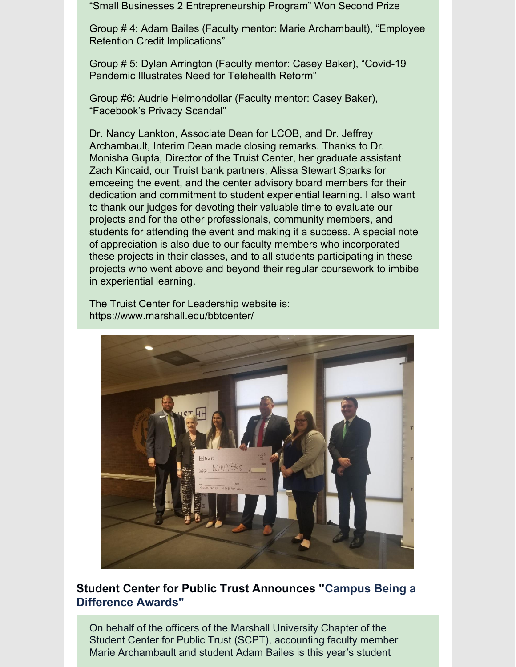"Small Businesses 2 Entrepreneurship Program" Won Second Prize

Group # 4: Adam Bailes (Faculty mentor: Marie Archambault), "Employee Retention Credit Implications"

Group # 5: Dylan Arrington (Faculty mentor: Casey Baker), "Covid-19 Pandemic Illustrates Need for Telehealth Reform"

Group #6: Audrie Helmondollar (Faculty mentor: Casey Baker), "Facebook's Privacy Scandal"

Dr. Nancy Lankton, Associate Dean for LCOB, and Dr. Jeffrey Archambault, Interim Dean made closing remarks. Thanks to Dr. Monisha Gupta, Director of the Truist Center, her graduate assistant Zach Kincaid, our Truist bank partners, Alissa Stewart Sparks for emceeing the event, and the center advisory board members for their dedication and commitment to student experiential learning. I also want to thank our judges for devoting their valuable time to evaluate our projects and for the other professionals, community members, and students for attending the event and making it a success. A special note of appreciation is also due to our faculty members who incorporated these projects in their classes, and to all students participating in these projects who went above and beyond their regular coursework to imbibe in experiential learning.

The Truist Center for Leadership website is: https://www.marshall.edu/bbtcenter/



## **Student Center for Public Trust Announces "Campus Being a Difference Awards"**

On behalf of the officers of the Marshall University Chapter of the Student Center for Public Trust (SCPT), accounting faculty member Marie Archambault and student Adam Bailes is this year's student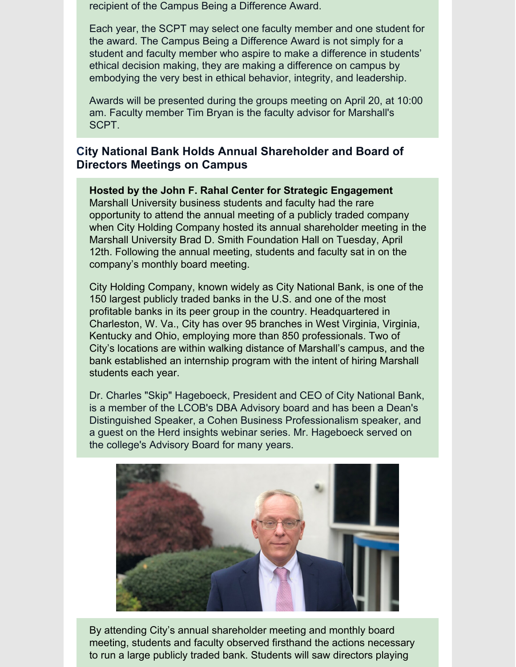recipient of the Campus Being a Difference Award.

Each year, the SCPT may select one faculty member and one student for the award. The Campus Being a Difference Award is not simply for a student and faculty member who aspire to make a difference in students' ethical decision making, they are making a difference on campus by embodying the very best in ethical behavior, integrity, and leadership.

Awards will be presented during the groups meeting on April 20, at 10:00 am. Faculty member Tim Bryan is the faculty advisor for Marshall's SCPT.

## **City National Bank Holds Annual Shareholder and Board of Directors Meetings on Campus**

**Hosted by the John F. Rahal Center for Strategic Engagement** Marshall University business students and faculty had the rare opportunity to attend the annual meeting of a publicly traded company when City Holding Company hosted its annual shareholder meeting in the Marshall University Brad D. Smith Foundation Hall on Tuesday, April 12th. Following the annual meeting, students and faculty sat in on the company's monthly board meeting.

City Holding Company, known widely as City National Bank, is one of the 150 largest publicly traded banks in the U.S. and one of the most profitable banks in its peer group in the country. Headquartered in Charleston, W. Va., City has over 95 branches in West Virginia, Virginia, Kentucky and Ohio, employing more than 850 professionals. Two of City's locations are within walking distance of Marshall's campus, and the bank established an internship program with the intent of hiring Marshall students each year.

Dr. Charles "Skip" Hageboeck, President and CEO of City National Bank, is a member of the LCOB's DBA Advisory board and has been a Dean's Distinguished Speaker, a Cohen Business Professionalism speaker, and a guest on the Herd insights webinar series. Mr. Hageboeck served on the college's Advisory Board for many years.



By attending City's annual shareholder meeting and monthly board meeting, students and faculty observed firsthand the actions necessary to run a large publicly traded bank. Students will saw directors playing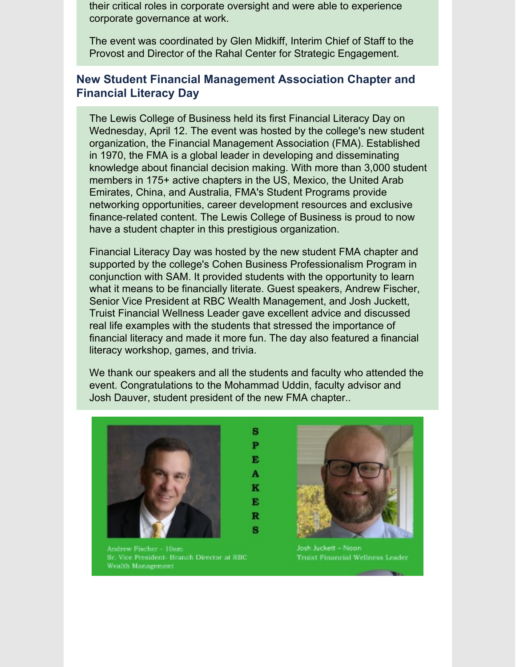their critical roles in corporate oversight and were able to experience corporate governance at work.

The event was coordinated by Glen Midkiff, Interim Chief of Staff to the Provost and Director of the Rahal Center for Strategic Engagement.

## **New Student Financial Management Association Chapter and Financial Literacy Day**

The Lewis College of Business held its first Financial Literacy Day on Wednesday, April 12. The event was hosted by the college's new student organization, the Financial Management Association (FMA). Established in 1970, the FMA is a global leader in developing and disseminating knowledge about financial decision making. With more than 3,000 student members in 175+ active chapters in the US, Mexico, the United Arab Emirates, China, and Australia, FMA's Student Programs provide networking opportunities, career development resources and exclusive finance-related content. The Lewis College of Business is proud to now have a student chapter in this prestigious organization.

Financial Literacy Day was hosted by the new student FMA chapter and supported by the college's Cohen Business Professionalism Program in conjunction with SAM. It provided students with the opportunity to learn what it means to be financially literate. Guest speakers, Andrew Fischer, Senior Vice President at RBC Wealth Management, and Josh Juckett, Truist Financial Wellness Leader gave excellent advice and discussed real life examples with the students that stressed the importance of financial literacy and made it more fun. The day also featured a financial literacy workshop, games, and trivia.

We thank our speakers and all the students and faculty who attended the event. Congratulations to the Mohammad Uddin, faculty advisor and Josh Dauver, student president of the new FMA chapter..

> 8 P E. A K  $\mathbf{E}$ R S.



Andrew Fischer - 10am Sr. Vice President- Branch Director at RBC Wealth Management



Josh Juckett - Noon Truist Financial Wellness Leader